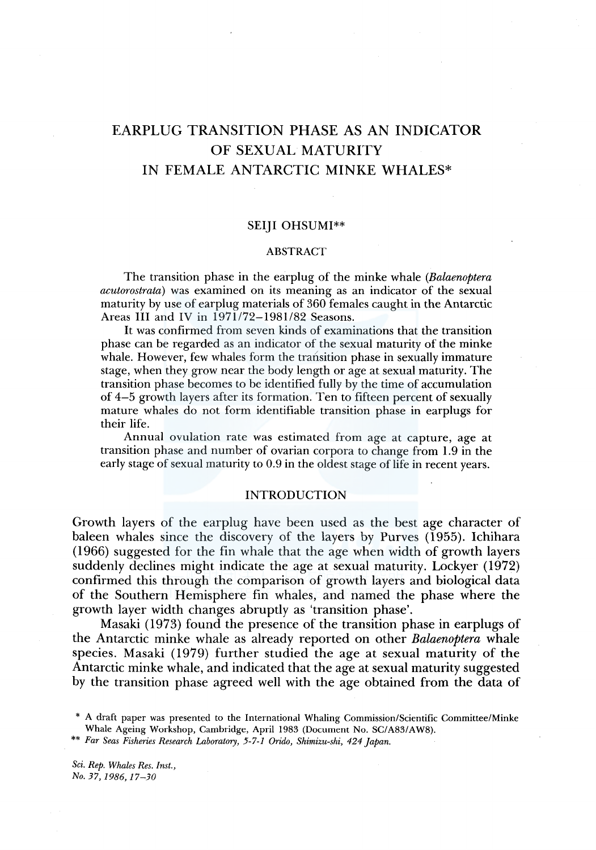# EARPLUG TRANSITION PHASE AS AN INDICATOR OF SEXUAL MATURITY IN FEMALE ANTARCTIC MINKE WHALES\*

## SEIJI OHSUMI\*\*

#### ABSTRACT

The transition phase in the earplug of the minke whale *(Balaenoptera acutorostrata)* was examined on its meaning as an indicator of the sexual maturity by use of earplug materials of 360 females caught in the Antarctic Areas III and IV in 1971/72-1981/82 Seasons.

It was confirmed from seven kinds of examinations that the transition phase can be regarded as an indicator of the sexual maturity of the minke whale. However, few whales form the transition phase in sexually immature stage, when they grow near the body length or age at sexual maturity. The transition phase becomes to be identified fully by the time of accumulation of 4-5 growth layers after its formation. Ten to fifteen percent of sexually mature whales do not form identifiable transition phase in earplugs for their life.

Annual ovulation rate was estimated from age at capture, age at transition phase and number of ovarian corpora to change from 1.9 in the early stage of sexual maturity to 0.9 in the oldest stage of life in recent years.

## INTRODUCTION

Growth layers of the earplug have been used as the best age character of baleen whales since the discovery of the layers by Purves (1955). Ichihara ( 1966) suggested for the fin whale that the age when width of growth layers suddenly declines might indicate the age at sexual maturity. Lockyer (1972) confirmed this through the comparison of growth layers and biological data of the Southern Hemisphere fin whales, and named the phase where the growth layer width changes abruptly as 'transition phase'.

Masaki (1973) found the presence of the transition phase in earplugs of the Antarctic minke whale as already reported on other *Balaenoptera* whale species. Masaki ( 1979) further studied the age at sexual maturity of the Antarctic minke whale, and indicated that the age at sexual maturity suggested by the transition phase agreed well with the age obtained from the data of

*Sci. Rep. Whales Res. Inst., No.37,1986,17-30* 

<sup>\*</sup> A draft paper was presented to the International Whaling Commission/Scientific Committee/Minke Whale Ageing Workshop, Cambridge, April 1983 (Document No. SC/A83/AW8).

<sup>\*\*</sup> *Far Seas Fisheries Research Laboratory, 5-7-1* Orido, *Shimizu-ski, 424 Japan.*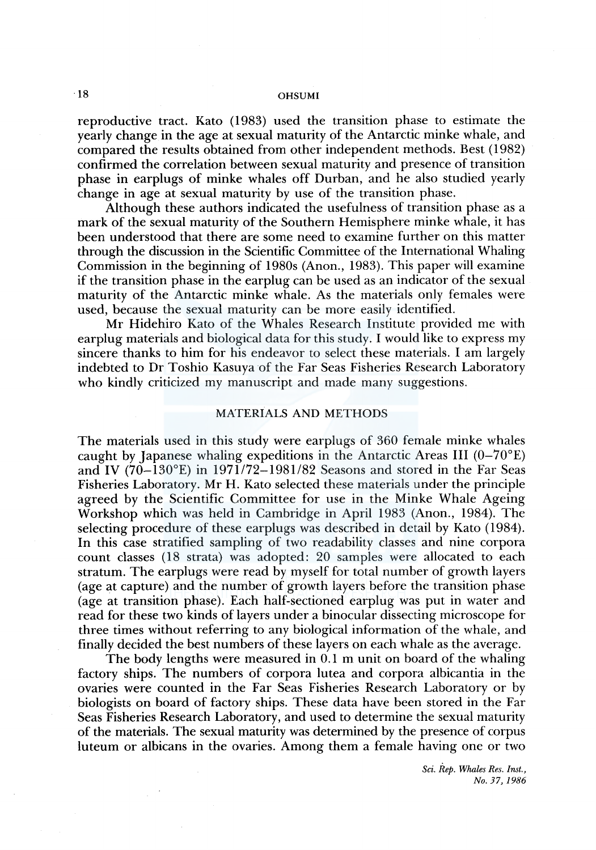reproductive tract. Kato (1983) used the transition phase to estimate the yearly change in the age at sexual maturity of the Antarctic minke whale, and compared the results obtained from other independent methods. Best ( 1982) confirmed the correlation between sexual maturity and presence of transition phase in earplugs of minke whales off Durban, and he also studied yearly change in age at sexual maturity by use of the transition phase.

Although these authors indicated the usefulness of transition phase as a mark of the sexual maturity of the Southern Hemisphere minke whale, it has been understood that there are some need to examine further on this matter through the discussion in the Scientific Committee of the International Whaling Commission in the beginning of 1980s (Anon., 1983). This paper will examine if the transition phase in the earplug can be used as an indicator of the sexual maturity of the Antarctic minke whale. As the materials only females were used, because the sexual maturity can be more easily identified.

Mr Hidehiro Kato of the Whales Research Institute provided me with earplug materials and biological data for this study. I would like to express my sincere thanks to him for his endeavor to select these materials. I am largely indebted to Dr Toshio Kasuya of the Far Seas Fisheries Research Laboratory who kindly criticized my manuscript and made many suggestions.

## MATERIALS AND METHODS

The materials used in this study were earplugs of 360 female minke whales caught by Japanese whaling expeditions in the Antarctic Areas III  $(0-70)$ °E) and IV  $(70-130)$ °E) in 1971/72-1981/82 Seasons and stored in the Far Seas Fisheries Laboratory. Mr H. Kato selected these materials under the principle agreed by the Scientific Committee for use in the Minke Whale Ageing Workshop which was held in Cambridge in April 1983 (Anon., 1984). The selecting procedure of these earplugs was described in detail by Kato (1984). In this case stratified sampling of two readability classes and nine corpora count classes (18 strata) was adopted: 20 samples were allocated to each stratum. The earplugs were read by myself for total number of growth layers (age at capture) and the number of growth layers before the transition phase (age at transition phase). Each half-sectioned earplug was put in water and read for these two kinds of layers under a binocular dissecting microscope for three times without referring to any biological information of the whale, and finally decided the best numbers of these layers on each whale as the average.

The body lengths were measured in 0.1 m unit on board of the whaling factory ships. The numbers of corpora lutea and corpora albicantia in the ovaries were counted in the Far Seas Fisheries Research Laboratory or by biologists on board of factory ships. These data have been stored in the Far Seas Fisheries Research Laboratory, and used to determine the sexual maturity of the materials. The sexual maturity was determined by the presence of corpus luteum or albicans in the ovaries. Among them a female having one or two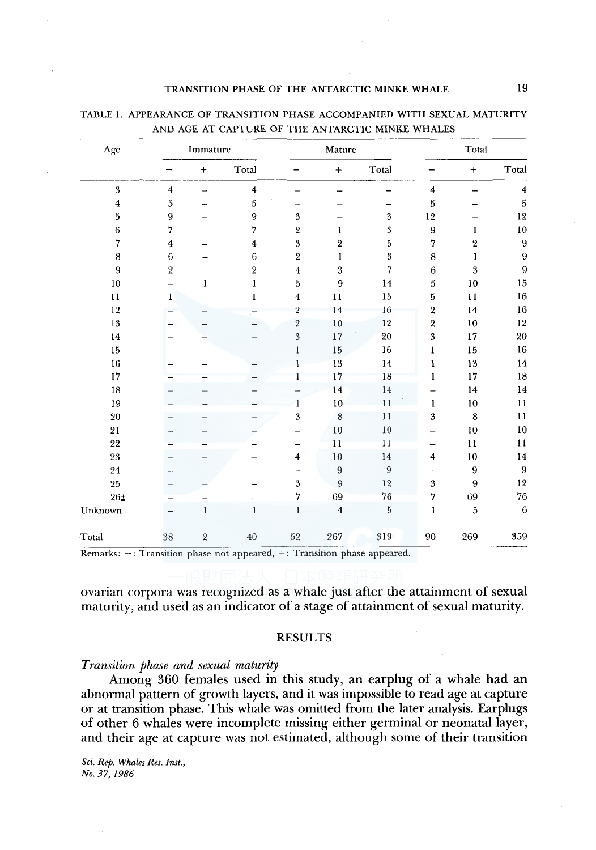| Age            |                         | Immature     |                                 |                         | Mature           |                         |                          | Total        |                         |  |
|----------------|-------------------------|--------------|---------------------------------|-------------------------|------------------|-------------------------|--------------------------|--------------|-------------------------|--|
|                |                         | $+$          | $\operatorname{\mathsf{Total}}$ |                         | $+$              | Total                   |                          | $+$          | Total                   |  |
| $\overline{3}$ | $\overline{4}$          | -            | $\overline{\mathbf{4}}$         |                         |                  |                         | $\overline{\mathbf{4}}$  |              | $\overline{\mathbf{4}}$ |  |
| $\overline{4}$ | 5                       |              | $\,$ 5                          |                         |                  |                         | 5                        |              | $\,$ 5                  |  |
| 5              | 9                       |              | $\mathbf 9$                     | $\overline{\mathbf{3}}$ |                  | $\boldsymbol{3}$        | 12                       |              | $12\,$                  |  |
| 6              | $\overline{7}$          |              | 7                               | $\overline{\mathbf{2}}$ | 1                | $\overline{\mathbf{3}}$ | 9                        | 1            | $10\,$                  |  |
| $\overline{7}$ | $\overline{\mathbf{4}}$ |              | $\overline{\mathbf{4}}$         | $\boldsymbol{3}$        | $\overline{2}$   | $\mathbf 5$             | 7                        | $\,2\,$      | $\bf{9}$                |  |
| $\bf 8$        | $\,6\,$                 |              | $\,6$                           | $\,2$                   | 1                | $\,3\,$                 | $\bf8$                   | $\mathbf{I}$ | $\boldsymbol{9}$        |  |
| $\overline{9}$ | $\sqrt{2}$              |              | $\sqrt{2}$                      | $\bf{4}$                | $\sqrt{3}$       | $\overline{7}$          | $\boldsymbol{6}$         | 3            | $\boldsymbol{9}$        |  |
| 10             |                         | 1            | 1                               | $\bf 5$                 | $\boldsymbol{9}$ | 14                      | $\,$ 5                   | 10           | $15\,$                  |  |
| 11             | $\bf{l}$                |              | $\mathbf{I}$                    | $\bf{4}$                | 11               | 15                      | 5                        | 11           | $16\,$                  |  |
| 12             |                         |              |                                 | $\overline{2}$          | 14               | 16                      | $\overline{\mathbf{2}}$  | 14           | 16                      |  |
| 13             |                         |              |                                 | $\overline{\mathbf{2}}$ | 10               | $12\,$                  | $\overline{\mathbf{2}}$  | 10           | $12\,$                  |  |
| 14             |                         |              |                                 | $\overline{3}$          | 17               | $20\,$                  | $\overline{\mathbf{3}}$  | 17           | 20                      |  |
| 15             |                         |              |                                 | $\mathbf{1}$            | 15               | 16                      | $\mathbf{1}$             | $15\,$       | 16                      |  |
| $16\,$         |                         |              |                                 | 1                       | 13               | 14                      | 1                        | 13           | 14                      |  |
| $17\,$         |                         |              |                                 | $\mathbf{l}$            | 17               | 18                      | $\mathbf{1}$             | 17           | 18                      |  |
| 18             |                         |              |                                 |                         | 14               | 14                      |                          | 14           | 14                      |  |
| 19             |                         |              |                                 | 1                       | 10               | 11                      | $\mathbf{1}$             | 10           | 11                      |  |
| 20             |                         |              |                                 | 3                       | 8                | 11                      | $\boldsymbol{3}$         | $\bf 8$      | 11                      |  |
| 21             |                         |              |                                 |                         | 10               | 10                      |                          | 10           | $10\,$                  |  |
| 22             |                         |              |                                 |                         | 11               | 11                      | $\overline{\phantom{0}}$ | 11           | $\mathbf{11}$           |  |
| 23             |                         |              |                                 | $\overline{\mathbf{4}}$ | 10               | 14                      | $\overline{\bf 4}$       | 10           | $\bf 14$                |  |
| 24             |                         |              |                                 |                         | $\boldsymbol{9}$ | $\boldsymbol{9}$        | —                        | 9            | $\boldsymbol{9}$        |  |
| 25             |                         |              |                                 | $\bf 3$                 | 9                | 12                      | $\overline{\mathbf{3}}$  | 9            | $12\,$                  |  |
| $26\pm$        |                         |              |                                 | $\overline{7}$          | 69               | $76\,$                  | $\overline{7}$           | 69           | 76                      |  |
| Unknown        |                         | $\mathbf{1}$ | $\mathbf{1}$                    | $\mathbf{1}$            | $\overline{4}$   | $\bf 5$                 | $\mathbf{I}$             | 5            | $\,6\,$                 |  |
| Total          | 38                      | 2            | 40                              | 52                      | 267              | 319                     | $90\,$                   | 269          | 359                     |  |

TABLE 1. APPEARANCE OF TRANSITION PHASE ACCOMPANIED WITH SEXUAL MATURITY AND AGE AT CAPTURE OF THE ANTARCTIC MINKE WHALES

Remarks: -: Transition phase not appeared, +: Transition phase appeared.

ovarian corpora was recognized as a whale just after the attainment of sexual maturity, and used as an indicator of a stage of attainment of sexual maturity.

#### RESULTS

## *Transition phase and sexual maturity*

Among 360 females used in this study, an earplug of a whale had an abnormal pattern of growth layers, and it was impossible to read age at capture or at transition phase. This whale was omitted from the later analysis. Earplugs of other 6 whales were incomplete missing either germinal or neonatal layer, and their age at capture was not estimated, although some of their transition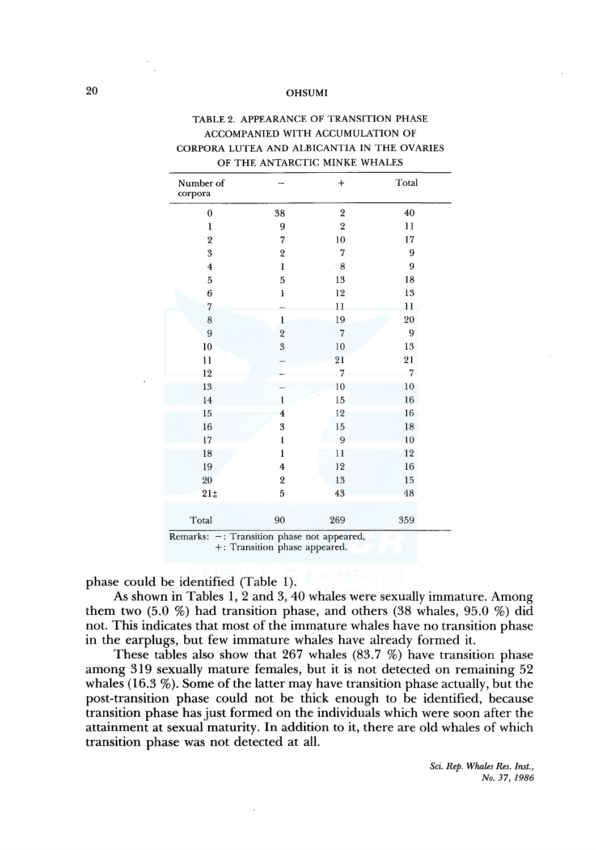| Number of<br>corpora    |                         | $+$                     | Total           |
|-------------------------|-------------------------|-------------------------|-----------------|
| $\bf{0}$                | 38                      | $\overline{\mathbf{2}}$ | 40              |
| $\mathbf{1}$            | 9                       | $\overline{2}$          | 11              |
| $\overline{\mathbf{2}}$ | 7                       | 10                      | 17 <sup>°</sup> |
| $\overline{3}$          | $\overline{\mathbf{2}}$ | 7                       | 9               |
| $\overline{\mathbf{4}}$ | $\mathbf{1}$            | $^{\circ}8$             | 9               |
| 5                       | 5                       | 13                      | 18              |
| 6                       | I                       | 12                      | 13              |
| 7                       |                         | 11                      | 11              |
| 8                       | $\mathbf{1}$            | 19                      | 20              |
| $\boldsymbol{9}$        | $\overline{2}$          | $\overline{7}$          | 9               |
| 10                      | $\overline{3}$          | 10                      | 13              |
| $\overline{11}$         |                         | 21                      | 21              |
| 12                      |                         | 7                       | 7               |
| 13                      |                         | 10                      | 10              |
| 14                      | $\mathbf{1}$            | 15                      | 16              |
| 15                      | $\overline{\mathbf{4}}$ | 12                      | 16              |
| 16                      | 3                       | 15                      | 18              |
| 17                      | $\mathbf{I}$            | 9                       | 10              |
| 18                      | $\mathbf{1}$            | 11                      | 12              |
| 19                      | $\overline{4}$          | 12                      | 16              |
| 20                      | $\overline{\mathbf{c}}$ | 13                      | 15              |
| $21\pm$                 | $\overline{5}$          | 43                      | 48              |
| Total                   | 90                      | 269                     | 359             |

# TABLE 2. APPEARANCE OF TRANSITION PHASE ACCOMPANIED WITH ACCUMULATION OF CORPORA LUTEA AND ALBICANTIA IN THE OVARIES

Remarks:  $-$ : Transition phase not appeared, +: Transition phase appeared.

phase could be identified (Table 1).

As shown in Tables 1, 2 and 3, 40 whales were sexually immature. Among them two  $(5.0 \%)$  had transition phase, and others  $(38 \text{ whales}, 95.0 \%)$  did not. This indicates that most of the immature whales have no transition phase in the earplugs, but few immature whales have already formed it.

These tables also show that 267 whales (83.7 %) have transition phase among 319 sexually mature females, but it is not detected on remaining 52 whales  $(16.3\%)$ . Some of the latter may have transition phase actually, but the post-transition phase could not be thick enough to be identified, because transition phase has just formed on the individuals which were soon after the attainment at sexual maturity. In addition to it, there are old whales of which transition phase was not detected at all.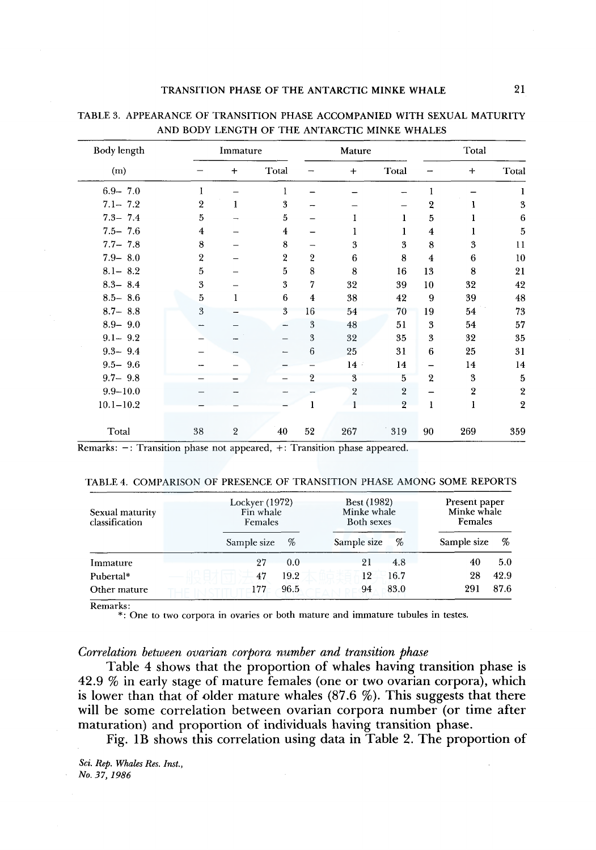| Body length   |                | Immature       |                  |                | Mature         |                |                         | Total          |                  |
|---------------|----------------|----------------|------------------|----------------|----------------|----------------|-------------------------|----------------|------------------|
| (m)           |                | $\ddot{}$      | Total            |                | $+$            | Total          |                         | $\ddot{}$      | Total            |
| $6.9 - 7.0$   | 1              |                | 1                |                |                |                | 1                       |                |                  |
| $7.1 - 7.2$   | $\overline{2}$ | 1              | 3                |                |                |                | $\overline{2}$          |                | 3                |
| $7.3 - 7.4$   | 5              |                | 5                |                |                | 1              | 5                       |                | 6                |
| $7.5 - 7.6$   | $\overline{4}$ |                | $\boldsymbol{4}$ |                | 1              |                | $\overline{\mathbf{4}}$ |                | 5                |
| $7.7 - 7.8$   | 8              |                | 8                |                | 3              | 3              | 8                       | 3              | 11               |
| $7.9 - 8.0$   | $\overline{2}$ |                | $\overline{2}$   | $\overline{2}$ | 6              | 8              | $\overline{4}$          | 6              | 10               |
| $8.1 - 8.2$   | 5              |                | 5                | 8              | 8              | 16             | 13                      | 8              | 21               |
| $8.3 - 8.4$   | 3              |                | 3                | 7              | 32             | 39             | 10                      | 32             | 42               |
| $8.5 - 8.6$   | 5              | 1              | 6                | $\overline{4}$ | 38             | 42             | 9                       | 39             | 48               |
| $8.7 - 8.8$   | 3              |                | 3                | 16             | 54             | 70             | 19                      | 54             | 73               |
| $8.9 - 9.0$   |                |                |                  | 3              | 48             | 51             | 3                       | 54             | 57               |
| $9.1 - 9.2$   |                |                |                  | 3              | 32             | 35             | 3                       | 32             | 35               |
| $9.3 - 9.4$   |                |                |                  | 6              | 25             | 31             | 6                       | 25             | 31               |
| $9.5 - 9.6$   |                |                |                  |                | $14 -$         | 14             |                         | 14             | 14               |
| $9.7 - 9.8$   |                |                |                  | $\overline{2}$ | 3              | 5              | $\overline{2}$          | 3              | 5                |
| $9.9 - 10.0$  |                |                |                  |                | $\overline{2}$ | $\overline{2}$ |                         | $\overline{2}$ | $\boldsymbol{2}$ |
| $10.1 - 10.2$ |                |                |                  | 1              |                | $\overline{2}$ | 1                       | ı              | $\boldsymbol{2}$ |
| Total         | 38             | $\overline{2}$ | 40               | 52             | 267            | 319            | 90                      | 269            | 359              |

## TABLE 3. APPEARANCE OF TRANSITION PHASE ACCOMPANIED WITH SEXUAL MATURITY AND BODY LENGTH OF THE ANTARCTIC MINKE WHALES

 $Remarks: -: Transition phase not appeared, +: Transition phase appeared.$ 

#### TABLE 4. COMPARISON OF PRESENCE OF TRANSITION PHASE AMONG SOME REPORTS

| Sexual maturity<br>classification | Lockyer (1972)<br>Fin whale<br>Females |      | <b>Best (1982)</b><br>Minke whale<br>Both sexes |      | Present paper<br>Minke whale<br>Females |      |  |
|-----------------------------------|----------------------------------------|------|-------------------------------------------------|------|-----------------------------------------|------|--|
|                                   | Sample size                            | %    | Sample size                                     | %    | Sample size                             | %    |  |
| Immature                          | 27                                     | 0.0  | 21                                              | 4.8  | 40                                      | 5.0  |  |
| Pubertal*                         | 47                                     | 19.2 | 12                                              | 16.7 | 28                                      | 42.9 |  |
| Other mature                      | 177                                    | 96.5 | 94                                              | 83.0 | 291                                     | 87.6 |  |

Remarks:

\*: One to two corpora in ovaries or both mature and immature tubules in testes.

## *Correlation between ovarian corpora number and transition phase*

Table 4 shows that the proportion of whales having transition phase is 42.9 % in early stage of mature females (one or two ovarian corpora), which is lower than that of older mature whales  $(87.6 \%)$ . This suggests that there will be some correlation between ovarian corpora number (or time after maturation) and proportion of individuals having transition phase.

Fig. lB shows this correlation using data in Table 2. The proportion of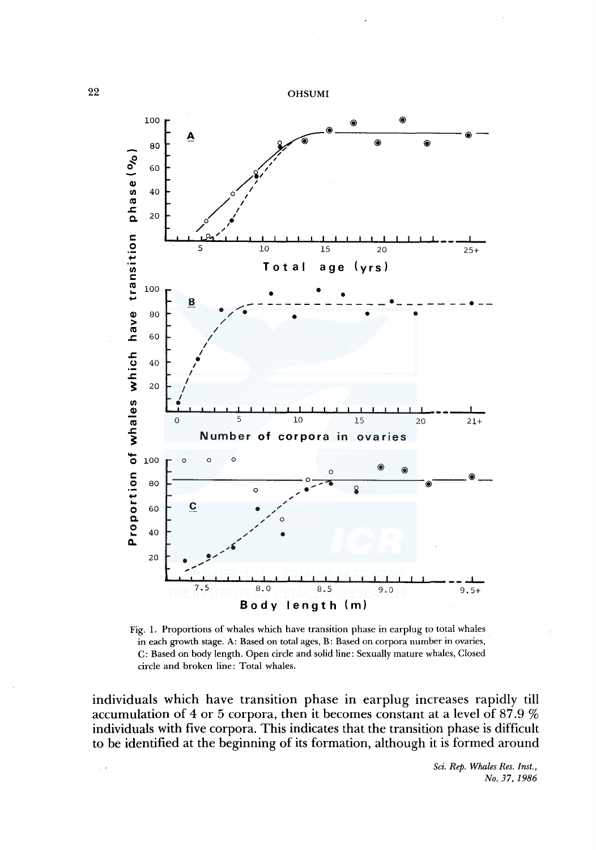

Fig. 1. Proportions of whales which have transition phase in earplug to total whales in each growth stage. A: Based on total ages, B: Based on corpora number in ovaries, C: Based on body length. Open circle and solid line: Sexually mature whales, Closed circle and broken line: Total whales.

individuals which have transition phase in earplug increases rapidly till accumulation of 4 or 5 corpora, then it becomes constant at a level of 87 .9 % individuals with five corpora. This indicates that the transition phase is difficult to be identified at the beginning of its formation, although it is formed around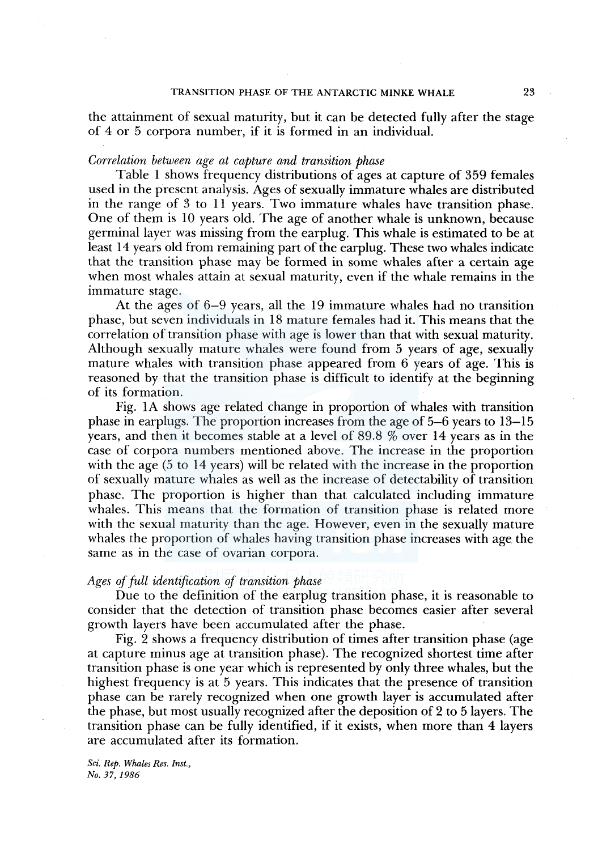the attainment of sexual maturity, but it can be detected fully after the stage of 4 or 5 corpora number, if it is formed in an individual.

#### *Correlation between age at capture and transition phase*

Table I shows frequency distributions of ages at capture of 359 females used in the present analysis. Ages of sexually immature whales are distributed in the range of 3 to 11 years. Two immature whales have transition phase. One of them is 10 years old. The age of another whale is unknown, because germinal layer was missing from the earplug. This whale is estimated to be at least 14 years old from remaining part of the earplug. These two whales indicate that the transition phase may be formed in some whales after a certain age when most whales attain at sexual maturity, even if the whale remains in the immature stage.

At the ages of 6-9 years, all the 19 immature whales had no transition phase, but seven individuals in 18 mature females had it. This means that the correlation of transition phase with age is lower than that with sexual maturity. Although sexually mature whales were found from 5 years of age, sexually mature whales with transition phase appeared from 6 years of age. This is reasoned by that the transition phase is difficult to identify at the beginning of its formation.

Fig. IA shows age related change in proportion of whales with transition phase in earplugs. The proportion increases from the age of 5-6 years to 13-15 years, and then it becomes stable at a level of 89.8  $\%$  over 14 years as in the case of corpora numbers mentioned above. The increase in the proportion with the age (5 to 14 years) will be related with the increase in the proportion of sexually mature whales as well as the increase of detectability of transition phase. The proportion is higher than that calculated including immature whales. This means that the formation of transition phase is related more with the sexual maturity than the age. However, even in the sexually mature whales the proportion of whales having transition phase increases with age the same as in the case of ovarian corpora.

## *Ages of full identification of transition phase*

Due to the definition of the earplug transition phase, it is reasonable to consider that the detection of transition phase becomes easier after several growth layers have been accumulated after the phase.

Fig. 2 shows a frequency distribution of times after transition phase (age at capture minus age at transition phase). The recognized shortest time after transition phase is one year which is represented by only three whales, but the highest frequency is at 5 years. This indicates that the presence of transition phase can be rarely recognized when one growth layer is accumulated after the phase, but most usually recognized after the deposition of 2 to 5 layers. The transition phase can be fully identified, if it exists, when more than 4 layers are accumulated after its formation.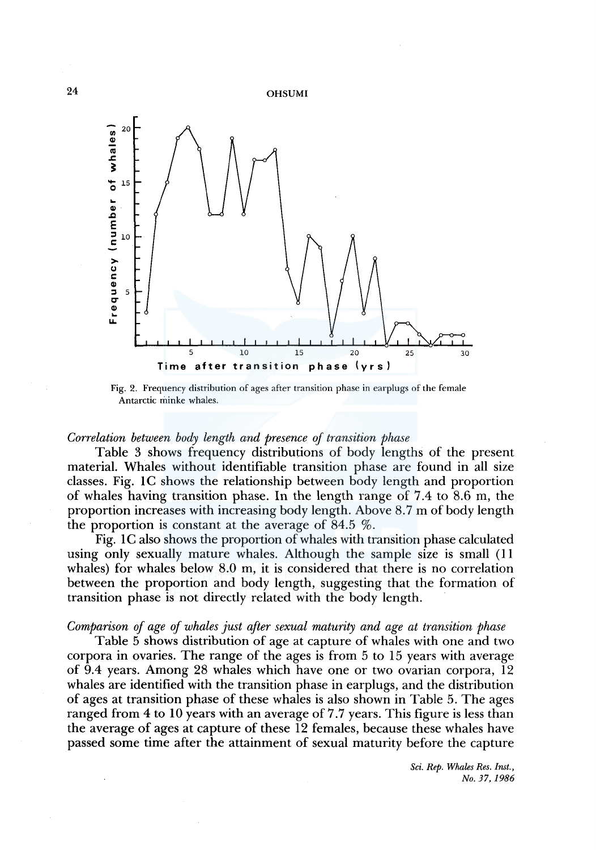

Fig. 2. Frequency distribution of ages after transition phase in earplugs of the female Antarctic minke whales.

## *Correlation between body length and presence of transition phase*

Table 3 shows frequency distributions of body lengths of the present material. Whales without identifiable transition phase are found in all size classes. Fig. IC shows the relationship between body length and proportion of whales having transition phase. In the length range of 7.4 to 8.6 m, the proportion increases with increasing body length. Above 8.7 m of body length the proportion is constant at the average of  $84.5\%$ .

Fig. 1 C also shows the proportion of whales with transition phase calculated using only sexually mature whales. Although the sample size is small (11 whales) for whales below 8.0 m, it is considered that there is no correlation between the proportion and body length, suggesting that the formation of transition phase is not directly related with the body length.

## *Comparison of age of whales just after sexual maturity and age at transition phase*

Table 5 shows distribution of age at capture of whales with one and two corpora in ovaries. The range of the ages is from 5 to 15 years with average of 9.4 years. Among 28 whales which have one or two ovarian corpora, 12 whales are identified with the transition phase in earplugs, and the distribution of ages at transition phase of these whales is also shown in Table 5. The ages ranged from 4 to 10 years with an average of 7.7 years. This figure is less than the average of ages at capture of these 12 females, because these whales have passed some time after the attainment of sexual maturity before the capture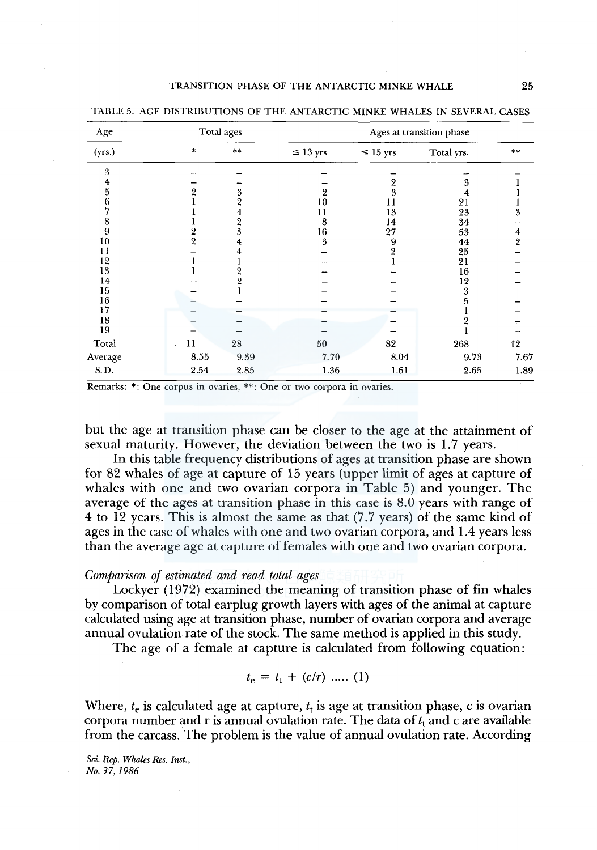| Age     |                | Total ages | Ages at transition phase |               |            |               |  |  |
|---------|----------------|------------|--------------------------|---------------|------------|---------------|--|--|
| (yrs.)  | *              | **         | $\leq 13$ yrs            | $\leq 15$ yrs | Total yrs. | $**$          |  |  |
| 3       |                |            |                          |               |            |               |  |  |
| 4       |                |            |                          | 2             | 3          |               |  |  |
| 5       | 2              | 3          |                          | 3             | 4          |               |  |  |
| 6       |                | 2          | 10                       | 11            | 21         |               |  |  |
|         |                | 4          | 11                       | 13            | 23         | 3             |  |  |
| 8       |                |            | 8                        | 14            | 34         |               |  |  |
| 9       | 2              | 3          | 16                       | 27            | 53         |               |  |  |
| 10      | $\overline{2}$ |            | 3                        | 9             | 44         | $\frac{4}{2}$ |  |  |
| 11      |                |            |                          | 2             | 25         |               |  |  |
| 12      |                |            |                          |               | 21         |               |  |  |
| 13      |                |            |                          |               | 16         |               |  |  |
| 14      |                |            |                          |               | 12         |               |  |  |
| 15      |                |            |                          |               | 3          |               |  |  |
| 16      |                |            |                          |               |            |               |  |  |
| 17      |                |            |                          |               |            |               |  |  |
| 18      |                |            |                          |               |            |               |  |  |
| 19      |                |            |                          |               |            |               |  |  |
| Total   | 11             | 28         | 50                       | 82            | 268        | 12            |  |  |
| Average | 8.55           | 9.39       | 7.70                     | 8.04          | 9.73       | 7.67          |  |  |
| S.D.    | 2.54           | 2.85       | 1.36                     | 1.61          | 2.65       | 1.89          |  |  |

TABLE 5. AGE DISTRIBUTIONS OF THE ANTARCTIC MINKE WHALES IN SEVERAL CASES

Remarks: \*: One corpus in ovaries, \*\*: One or two corpora in ovaries.

but the age at transition phase can be closer to the age at the attainment of sexual maturity. However, the deviation between the two is 1.7 years.

In this table frequency distributions of ages at transition phase are shown for 82 whales of age at capture of 15 years (upper limit of ages at capture of whales with one and two ovarian corpora in Table 5) and younger. The average of the ages at transition phase in this case is 8.0 years with range of 4 to 12 years. This is almost the same as that (7.7 years) of the same kind of ages in the case of whales with one and two ovarian corpora, and 1.4 years less than the average age at capture of females with one and two ovarian corpora.

## *Comparison of estimated and read total ages*

Lockyer (1972) examined the meaning of transition phase of fin whales by comparison of total earplug growth layers with ages of the animal at capture calculated using age at transition phase, number of ovarian corpora and average annual ovulation rate of the stock. The same method is applied in this study.

The age of a female at capture is calculated from following equation:

$$
t_{\rm e} = t_{\rm t} + (c/r) \, \, \ldots \, (1)
$$

Where,  $t_e$  is calculated age at capture,  $t_t$  is age at transition phase, c is ovarian corpora number and r is annual ovulation rate. The data of  $t_t$  and c are available from the carcass. The problem is the value of annual ovulation rate. According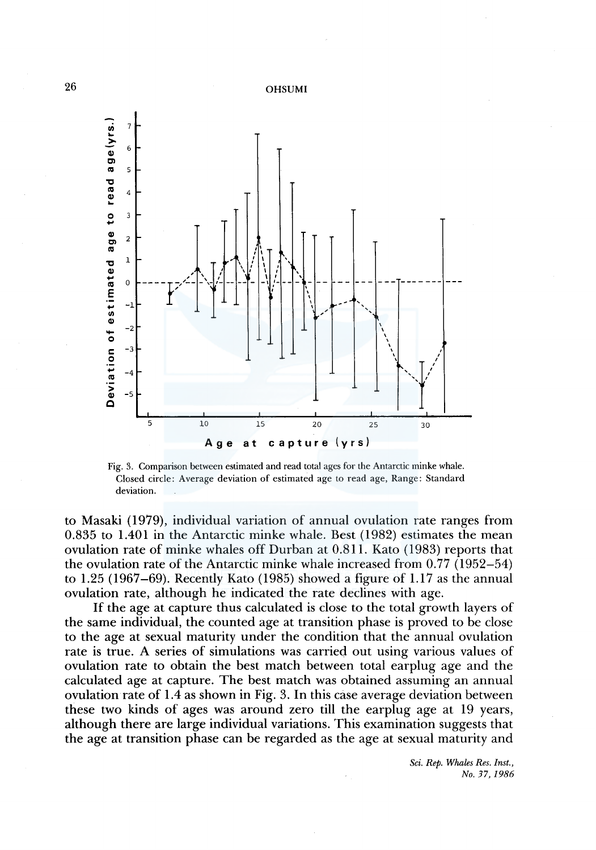

Fig. 3. Comparison between estimated and read total ages for the Antarctic minke whale. Closed circle: Average deviation of estimated age to read age, Range: Standard deviation.

to Masaki ( 1979), individual variation of annual ovulation rate ranges from 0.835 to 1.401 in the Antarctic minke whale. Best (1982) estimates the mean ovulation rate of minke whales off Durban at 0.811. Kato (1983) reports that the ovulation rate of the Antarctic minke whale increased from 0.77 (1952-54) to 1.25 ( 1967-69). Recently Kato ( 1985) showed a figure of 1.17 as the annual ovulation rate, although he indicated the rate declines with age.

If the age at capture thus calculated is close to the total growth layers of the same individual, the counted age at transition phase is proved to be close to the age at sexual maturity under the condition that the annual ovulation rate is true. A series of simulations was carried out using various values of ovulation rate to obtain the best match between total earplug age and the calculated age at capture. The best match was obtained assuming an annual ovulation rate of 1.4 as shown in Fig. 3. In this case average deviation between these two kinds of ages was around zero till the earplug age at 19 years, although there are large individual variations. This examination suggests that the age at transition phase can be regarded as the age at sexual maturity and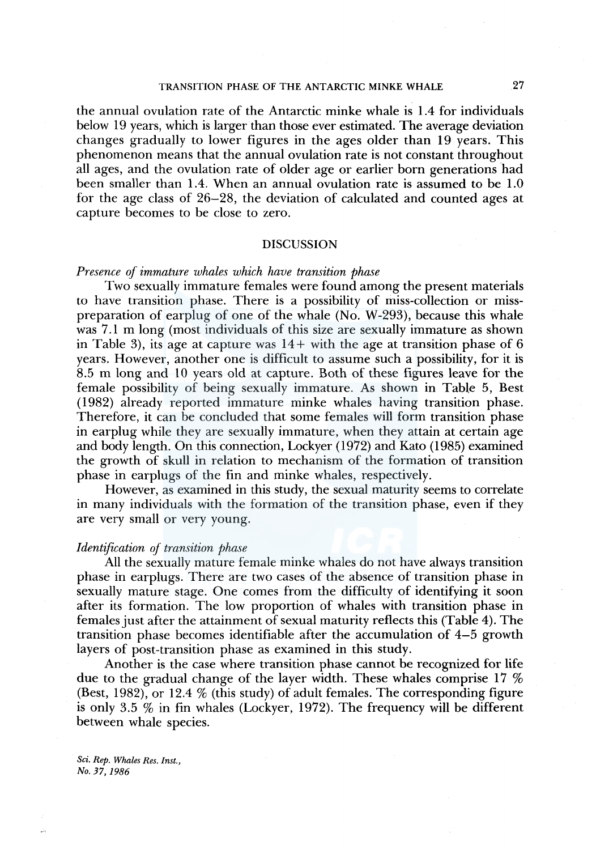## TRANSITION PHASE OF THE ANTARCTIC MINKE WHALE 27

the annual ovulation rate of the Antarctic minke whale is 1.4 for individuals below 19 years, which is larger than those ever estimated. The average deviation changes gradually to lower figures in the ages older than 19 years. This phenomenon means that the annual ovulation rate is not constant throughout all ages, and the ovulation rate of older age or earlier born generations had been smaller than 1.4. When an annual ovulation rate is assumed to be 1.0 for the age class of 26-28, the deviation of calculated and counted ages at capture becomes to be close to zero.

#### DISCUSSION

## *Presence of immature whales which have transition phase*

Two sexually immature females were found among the present materials to have transition phase. There is a possibility of miss-collection or misspreparation of earplug of one of the whale (No. W-293), because this whale was 7 .1 m long (most individuals of this size are sexually immature as shown in Table 3), its age at capture was  $14+$  with the age at transition phase of 6 years. However, another one is difficult to assume such a possibility, for it is 8.5 m long and 10 years old at capture. Both of these figures leave for the female possibility of being sexually immature. As shown in Table 5, Best (1982) already reported immature minke whales having transition phase. Therefore, it can be concluded that some females will form transition phase in earplug while they are sexually immature, when they attain at certain age and body length. On this connection, Lockyer (1972) and Kato (1985) examined the growth of skull in relation to mechanism of the formation of transition phase in earplugs of the fin and minke whales, respectively.

However, as examined in this study, the sexual maturity seems to correlate in many individuals with the formation of the transition phase, even if they are very small or very young.

#### *Identification of transition phase*

All the sexually mature female minke whales do not have always transition phase in earplugs. There are two cases of the absence of transition phase in sexually mature stage. One comes from the difficulty of identifying it soon after its formation. The low proportion of whales with transition phase in females just after the attainment of sexual maturity reflects this (Table 4). The transition phase becomes identifiable after the accumulation of 4-5 growth layers of post-transition phase as examined in this study.

Another is the case where transition phase cannot be recognized for life due to the gradual change of the layer width. These whales comprise 17 % (Best, 1982), or 12.4 % (this study) of adult females. The corresponding figure is only 3.5 % in fin whales (Lockyer, 1972). The frequency will be different between whale species.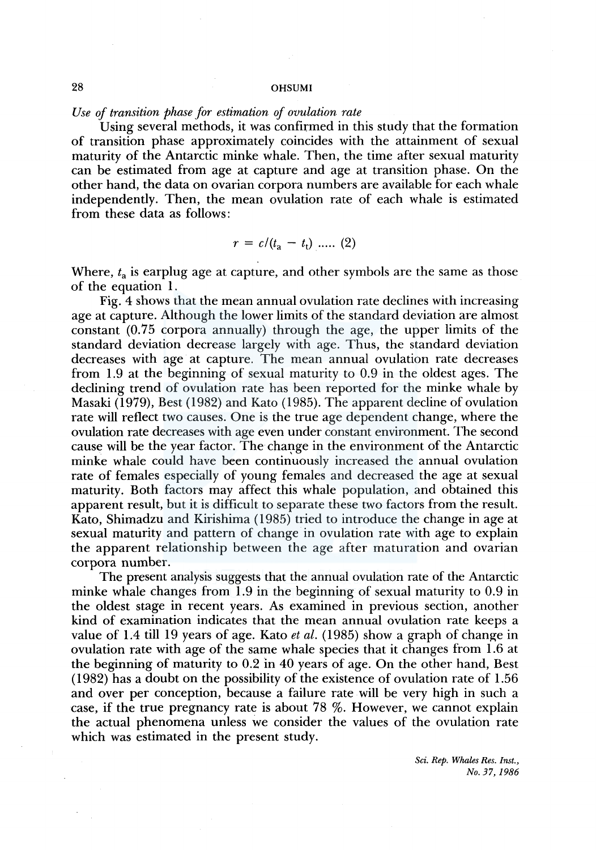*Use of transition phase for estimation of ovulation rate* 

Using several methods, it was confirmed in this study that the formation of transition phase approximately coincides with the attainment of sexual maturity of the Antarctic minke whale. Then, the time after sexual maturity can be estimated from age at capture and age at transition phase. On the other hand, the data on ovarian corpora numbers are available for each whale independently. Then, the mean ovulation rate of each whale is estimated from these data as follows:

$$
r = c/(t_a - t_t) \dots (2)
$$

Where,  $t_a$  is earplug age at capture, and other symbols are the same as those of the equation 1.

Fig. 4 shows that the mean annual ovulation rate declines with increasing age at capture. Although the lower limits of the standard deviation are almost constant (0.75 corpora annually) through the age, the upper limits of the standard deviation decrease largely with age. Thus, the standard deviation decreases with age at capture. The mean annual ovulation rate decreases from 1.9 at the beginning of sexual maturity to 0.9 in the oldest ages. The declining trend of ovulation rate has been reported for the minke whale by Masaki (1979), Best (1982) and Kato (1985). The apparent decline of ovulation rate will reflect two causes. One is the true age dependent change, where the ovulation rate decreases with age even under constant environment. The second cause will be the year factor. The change in the environment of the Antarctic minke whale could have been continuously increased the annual ovulation rate of females especially of young females and decreased the age at sexual maturity. Both factors may affect this whale population, and obtained this apparent result, but it is difficult to separate these two factors from the result. Kato, Shimadzu and Kirishima (1985) tried to introduce the change in age at sexual maturity and pattern of change in ovulation rate with age to explain the apparent relationship between the age after maturation and ovarian corpora number.

The present analysis suggests that the annual ovulation rate of the Antarctic minke whale changes from 1.9 in the beginning of sexual maturity to 0.9 in the oldest stage in recent years. As examined in previous section, another kind of examination indicates that the mean annual ovulation rate keeps a value of 1.4 till 19 years of age. Kato *et al.* ( 1985) show a graph of change in ovulation rate with age of the same whale species that it changes from 1.6 at the beginning of maturity to 0.2 in 40 years of age. On the other hand, Best ( 1982) has a doubt on the possibility of the existence of ovulation rate of 1.56 and over per conception, because a failure rate will be very high in such a case, if the true pregnancy rate is about 78 %. However, we cannot explain the actual phenomena unless we consider the values of the ovulation rate which was estimated in the present study.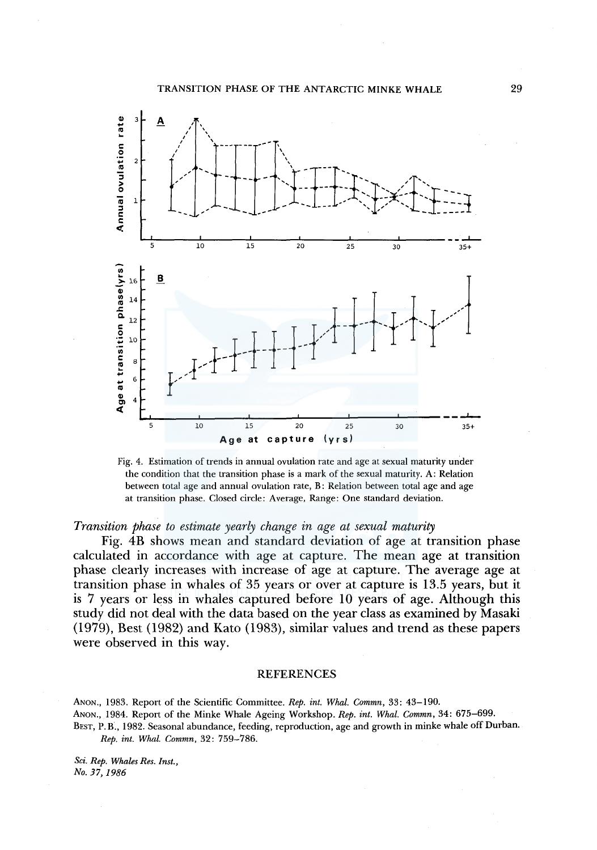

Fig. 4. Estimation of trends in annual ovulation rate and age at sexual maturity under the condition that the transition phase is a mark of the sexual maturity. A: Relation between total age and annual ovulation rate, B: Relation between total age and age at transition phase. Closed circle: Average, Range: One standard deviation.

*Transition phase to estimate yearly change in age at sexual maturity* 

Fig. 4B shows mean and standard deviation of age at transition phase calculated in accordance with age at capture. The mean age at transition phase clearly increases with increase of age at capture. The average age at transition phase in whales of 35 years or over at capture is 13.5 years, but it is 7 years or less in whales captured before 10 years of age. Although this study did not deal with the data based on the year class as examined by Masaki (1979), Best (1982) and Kato (1983), similar values and trend as these papers were observed in this way.

#### REFERENCES

ANON., 1983. Report of the Scientific Committee. *Rep. int. Whal. Commn,* 33: 43-190. ANON., 1984. Report of the Minke Whale Ageing Workshop. *Rep. int. Whal. Commn,* 34: 675-699. BEST, P.B., 1982. Seasonal abundance, feeding, reproduction, age and growth in minke whale off Durban. *Rep. int. Whal. Commn,* 32: 759-786.